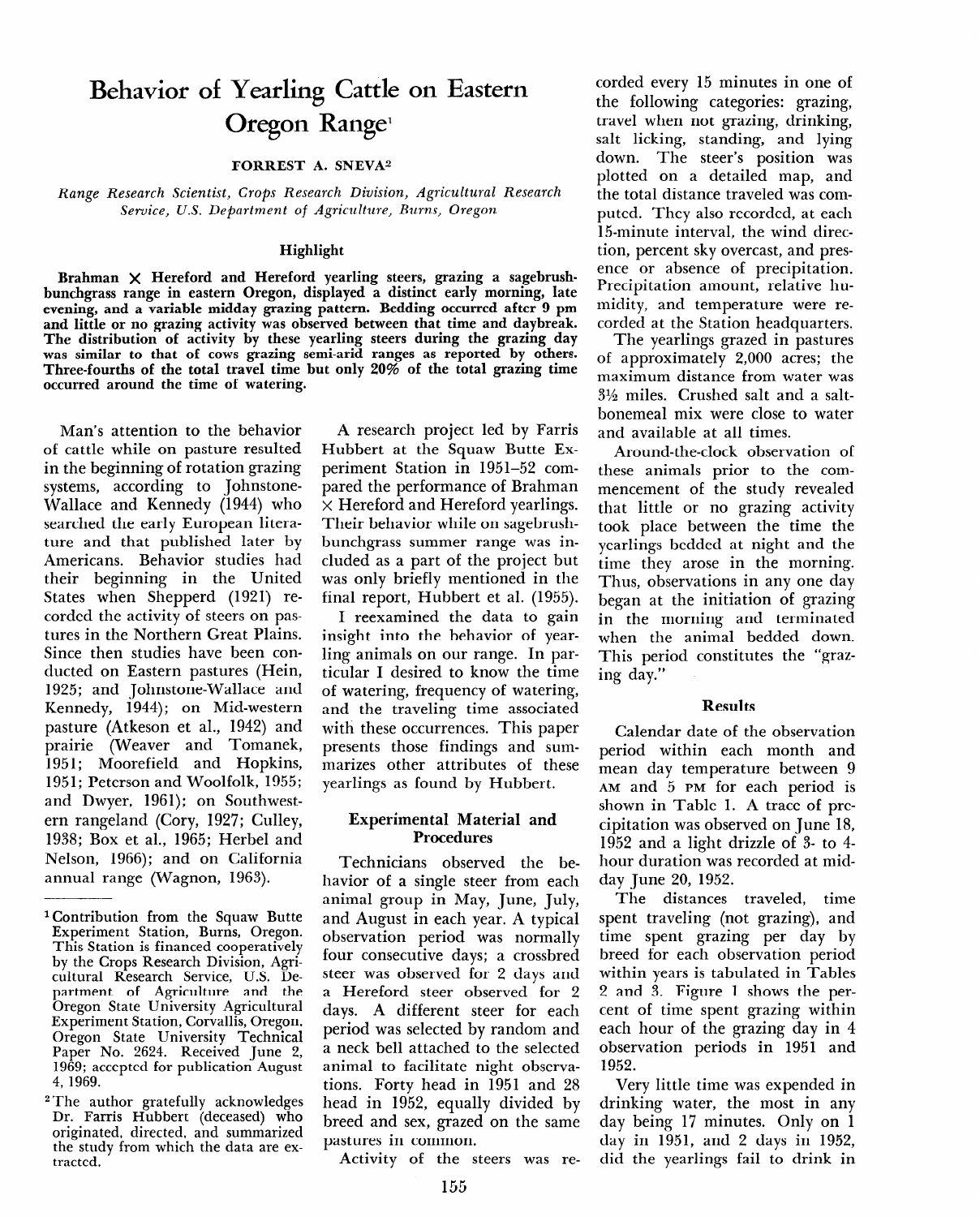# **Behavior of Yearling Cattle on Eastern Oregon Range'**

### **FORREST A. SNEVA2**

*Range Research Scientist, Crops Research Division, Agricultural Research Service, U.S. Department of Agriculture, Burns, Oregon* 

#### **Highlight**

**Brahman X Hereford and Hereford yearling steers, grazing a sagebrushbunchgrass range in eastern Oregon, displayed a distinct early morning, late**  evening, and a variable midday grazing pattern. Bedding occurred after 9 pm **and little or no grazing activity was observed between that time and daybreak. The distribution of activity by these yearling steers during the grazing day was similar to that of cows grazing semi-arid ranges as reported by others. Three-fourths of the total travel time but only 20% of the total grazing time occurred around the time of watering.** 

**Man's** attention to the behavior of cattle while on pasture resulted **in the beginning** of rotation grazing systems, according to Johnstone-Wallace and Kennedy (1944) who searched the early European literature and that published later by Americans. Behavior studies had their beginning in the United States when Shepperd (1921) recorded the activity of steers on pastures in the Northern Great Plains. Since then studies have been conducted on Eastern pastures (Hein, 1925; and Johnstone-Wallace and Kennedy, 1944); on Mid-western pasture (Atkeson et al., 1942) and prairie (Weaver and Tomanek, 1951; Moorefield and Hopkins, 1951; Peterson and Woolfolk, 1955; and Dwyer, 1961); on Southwestern rangeland (Cory, 1927; Culley, 1938; Box et al., 1965; Herbel and Nelson, 1966); and on California annual range (Wagnon, 1963).

A research project led by Farris Hubbert at the Squaw Butte Experiment Station in 1951-52 compared the performance of Brahman **x** Hereford and Hereford yearlings. Their behavior while on sagebrushbunchgrass summer range was included as a part of the project but was only briefly mentioned in the final report, Hubbert et al. (1955).

I reexamined the data to gain insight into the behavior of yearling animals on our range. In particular I desired to know the time of watering, frequency of watering, and the traveling time associated with these occurrences. This paper presents those findings and summarizes other attributes of these yearlings as found by Hubbert.

#### Experimental Material and Procedures

Technicians observed the behavior of a single steer from each animal group in May, July, July, July, July, July, July, July, July, July, July, July, July, July, July, July, and  $\frac{1}{2}$  and  $\frac{1}{2}$  and  $\frac{1}{2}$  and  $\frac{1}{2}$  and  $\frac{1}{2}$  and  $\frac{1}{2}$ and trugust in each year. A typical observation period was normally four consecutive days; a crossbred steer was observed for 2 days and a Hereford steer observed for 2 days. A different steer for each period was selected by random and a neck bell attached to the selected animal to facilitate night observations. Forty head in 1951 and 28 head in 1952, equally divided by breed and sex, grazed on the same. pastures in common.<br>Activity of the steers was re-

corded every 15 minutes in one of the following categories: grazing, travel when not grazing, drinking, salt licking, standing, and lying down. The steer's position was plotted on a detailed map, and the total distance traveled was computed. They also recorded, at each 15-minute interval, the wind direction, percent sky overcast, and presence or absence of precipitation. Precipitation amount, relative humidity, and temperature were recorded at the Station headquarters.

The yearlings grazed in pastures of approximately 2,000 acres; the maximum distance from water was  $3\frac{1}{2}$  miles. Crushed salt and a saltbonemeal mix were close to water and available at all times.

Around-the-clock observation of these animals prior to the commencement of the study revealed that little or no grazing activity took place between the time the yearlings bedded at night and the time they arose in the morning. Thus, observations in any one day began at the initiation of grazing **in the morning** and terminated when the animal bedded down. This period constitutes the "grazing day."

### Results

Calendar date of the observation period within each month and mean day temperature between 9 **AM** and 5 **PM** for each period is shown in Table 1. A trace of precipitation was observed on June 18, 1952 and a light drizzle of 3- to 4 hour duration was recorded at midday June 20, 1952.

 $T_{\text{min}}$  distances traveled, the distances traveled, the distances traveled, the distances of  $T_{\text{min}}$ spectrum traveling (not grazing), and grazing the spectrum of  $\frac{1}{2}$ spent traveling (not grazing), and time spent grazing per day by breed for each observation period within years is tabulated in Tables 2 and 3. Figure 1 shows the percent of time spent grazing within each hour of the grazing day in 4 observation periods in 1951 and<br>1952. Very little time was expended in

very ntile time was expended in drinking water, the most in any day being 17 minutes. Only on 1 day in 1951, and 2 days in 1952,<br>did the yearlings fail to drink in

**lcontribution from the Squaw Butte Experimental Station, ITCH** Squaw Butter Experiment Station, Burns, Oregon. **This Station is financed cooperatively** by the Crops Research Division, Agricultural Research Service, U.S. Department of Agriculture and the **Oregon State University Agricultural Experiment Station, Corvallis, Oregon.** Oregon State University Technical Paper No. 2624. Received June 2, 1969; accepted for publication August<br>4, 1969. 2,200, 2,200, 2,200, 2,200, 2,200, 2,200, 2,200, 2,200, 2,200, 2,200, 2,200, 2,200, 2,200, 2,200, 2,200, 2,20

I he author gratefully acknowledges Dr. Farris Hubbert (deceased) who originated, directed, and summarized the study from which the data are ex-<br>tracted.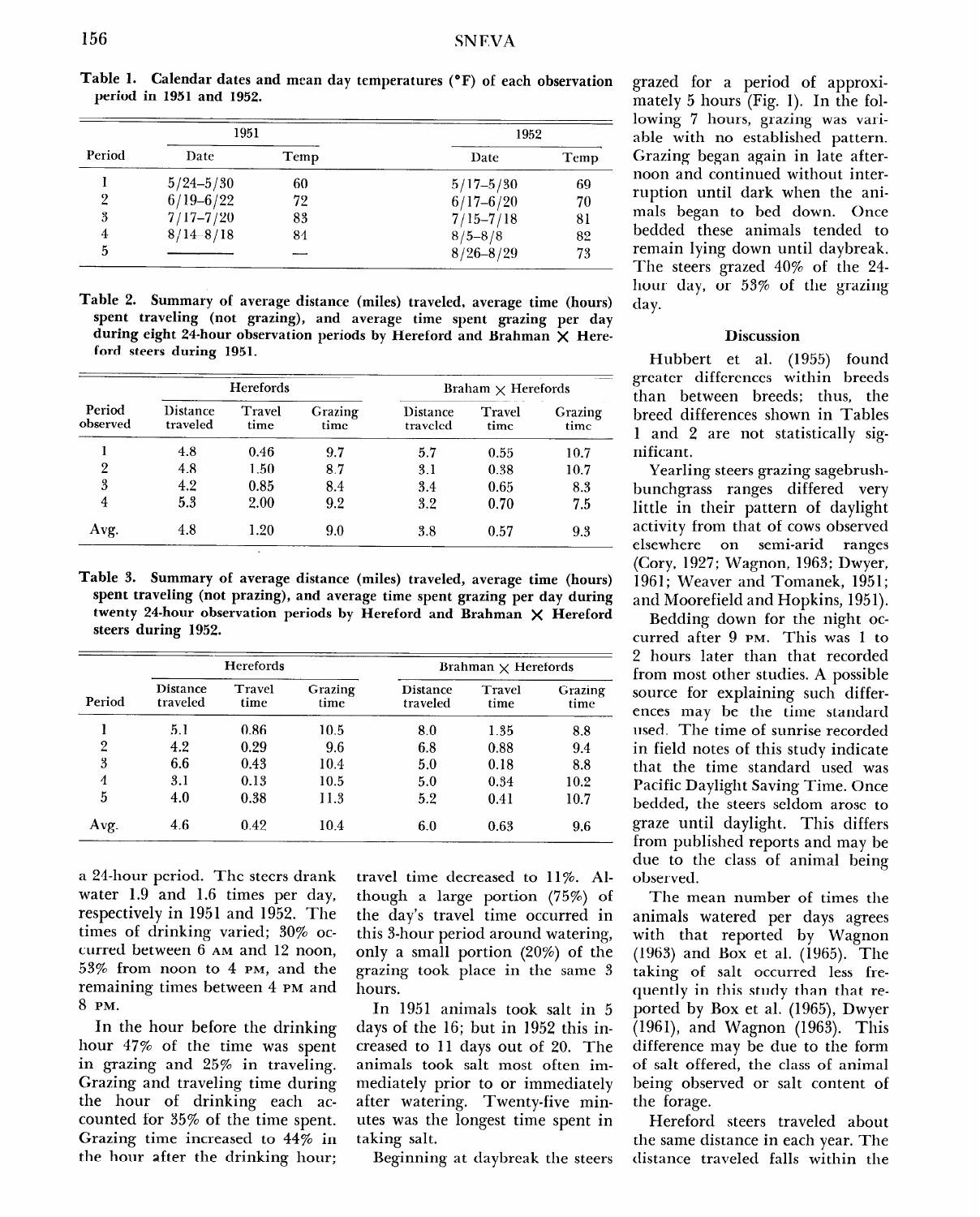|        | 1951          |      | 1952          |      |  |
|--------|---------------|------|---------------|------|--|
| Period | Date          | Temp | Date          | Temp |  |
|        | $5/24 - 5/30$ | 60   | $5/17 - 5/30$ | 69   |  |
| 9      | $6/19 - 6/22$ | 72   | $6/17 - 6/20$ | 70   |  |
| 3      | $7/17 - 7/20$ | 83   | $7/15 - 7/18$ | 81   |  |
|        | $8/14 - 8/18$ | 84   | $8/5 - 8/8$   | 82   |  |
| 5      |               |      | $8/26 - 8/29$ | 73   |  |

**Table 1. Calendar dates and mean day temperatures ("F) of each observation period in 1951 and 1952.** 

|                          |  | Table 2. Summary of average distance (miles) traveled, average time (hours) |  |  |  |
|--------------------------|--|-----------------------------------------------------------------------------|--|--|--|
|                          |  | spent traveling (not grazing), and average time spent grazing per day       |  |  |  |
|                          |  | during eight 24-hour observation periods by Hereford and Brahman X Here-    |  |  |  |
| ford steers during 1951. |  |                                                                             |  |  |  |

|                    | Herefords                   |                |                 | Braham $\times$ Herefords |                |                 |  |
|--------------------|-----------------------------|----------------|-----------------|---------------------------|----------------|-----------------|--|
| Period<br>observed | <b>Distance</b><br>traveled | Travel<br>time | Grazing<br>time | Distance<br>traveled      | Travel<br>time | Grazing<br>time |  |
|                    | 4.8                         | 0.46           | 9.7             | 5.7                       | 0.55           | 10.7            |  |
| 2                  | 4.8                         | 1.50           | 8.7             | 3.1                       | 0.38           | 10.7            |  |
| 3                  | 4.2                         | 0.85           | 8.4             | 3.4                       | 0.65           | 8.3             |  |
| 4                  | 5.3                         | 2.00           | 9.2             | 3.2                       | 0.70           | 7.5             |  |
| Avg.               | 4.8                         | 1.20           | 9.0             | 3.8                       | 0.57           | 9.3             |  |

**Table 3. Summary of average distance (miles) traveled, average time (hours) spent traveling (not prazing), and average time spent grazing per day during twenty 24-hour observation periods by Hereford and Brahman X Hereford steers during 1952.** 

| Period | <b>Herefords</b>     |                |                 | Brahman $\times$ Herefords  |                |                 |
|--------|----------------------|----------------|-----------------|-----------------------------|----------------|-----------------|
|        | Distance<br>traveled | Travel<br>time | Grazing<br>time | <b>Distance</b><br>traveled | Travel<br>time | Grazing<br>time |
|        | 5.1                  | 0.86           | 10.5            | 8.0                         | 1.35           | 8.8             |
| 2      | 4.2                  | 0.29           | 9.6             | 6.8                         | 0.88           | 9.4             |
| 3      | 6.6                  | 0.43           | 10.4            | 5.0                         | 0.18           | 8.8             |
| 4      | 3.1                  | 0.13           | 10.5            | 5.0                         | 0.34           | 10.2            |
| 5      | 4.0                  | 0.38           | 11.3            | 5.2                         | 0.41           | 10.7            |
| Avg.   | 4.6                  | 0.42           | 10.4            | 6.0                         | 0.63           | 9.6             |

a 24-hour period. The steers drank water 1.9 and 1.6 times per day, respectively in 1951 and 1952. The times of drinking varied; 30% occurred between 6 **AM** and 12 noon, 53% from noon to 4 **PM,** and the remaining times between 4 **PM** and 8 **PM.** 

In the hour before the drinking hour 47% of the time was spent  $\frac{1}{2}$  in the time was specified.  $\frac{1}{2}$  grazing and  $\frac{1}{2}$  or  $\frac{1}{2}$  the during Grazing and traveling time during<br>the hour of drinking each acche nour of  $\lim_{s \to 1} s$  can ac  $G_{\text{t}}$  to  $\frac{1}{4}$  increased to  $\frac{1}{4}$  increased to  $\frac{1}{4}$  increased to  $\frac{1}{4}$ Grazing time increased to 44% in<br>the hour after the drinking hour; travel time decreased to 11%. Although a large portion (75%) of the day's travel time occurred in  $\frac{1}{2}$   $\frac{3}{2}$   $\frac{1}{2}$   $\frac{3}{2}$   $\frac{1}{2}$   $\frac{3}{2}$   $\frac{1}{2}$   $\frac{3}{2}$   $\frac{1}{2}$   $\frac{3}{2}$   $\frac{1}{2}$   $\frac{3}{2}$   $\frac{1}{2}$   $\frac{3}{2}$   $\frac{1}{2}$   $\frac{3}{2}$   $\frac{1}{2}$   $\frac{1}{2}$   $\frac{1}{2}$   $\frac{1}{2}$   $\frac{1}{2}$   $\frac{1}{2}$  only a small portion (20%) of the  $\lim_{\epsilon \to 0} \frac{1}{\epsilon}$  in the same  $\lim_{\epsilon \to 0} \frac{1}{\epsilon}$ grazing took place in the same 3 hours.

In 1951 animals took salt in 5 days of the 16; but in 1952 this incays of the 10, but  $\ln 10.26$  this  $\ln$  $\frac{d}{dx}$  and  $\frac{d}{dx}$  of the salt of  $\frac{d}{dx}$ . animals took salt most often immediately prior to or immediately after watering. Twenty-five minutes was the longest time spent in<br>taking salt.

Beginning at daybreak the steers

grazed for a period of approximately 5 hours (Fig. 1). In the following 7 hours, grazing was variable with no established pattern. Grazing began again in late afternoon and continued without interruption until dark when the animals began to bed down. Once bedded these animals tended to remain lying down until daybreak. The steers grazed 40% of the 24 hour day, or 53% of the grazing day.

#### **Discussion**

Hubbert et al. (1955) found greater differences within breeds than between breeds; thus, the breed differences shown in Tables 1 and 2 are not statistically significant.

Yearling steers grazing sagebrushbunchgrass ranges differed very little in their pattern of daylight activity from that of cows observed elsewhere on semi-arid ranges (Cory, 1927; Wagnon, 1963; Dwyer, 1961; Weaver and Tomanek, 1951; and Moorefield and Hopkins, 195 1).

Bedding down for the night occurred after 9 **PM.** This was 1 to 2 hours later than that recorded from most other studies. A possible source for explaining such differences may be the time standard used. The time of sunrise recorded in field notes of this study indicate that the time standard used was Pacific Daylight Saving Time. Once bedded, the steers seldom arose to gradient under differential  $\mathbf{m}$  and  $\mathbf{m}$  and  $\mathbf{m}$  and  $\mathbf{m}$  and  $\mathbf{m}$  are  $\mathbf{m}$ graze until daylight. This differs<br>from published reports and may be due to the class of animal being observed.

The mean number of times the animals watered per days agrees animals watered per days agree  $(1968)$  and Box et al.  $(1968)$ . The al.  $(1968)$ .  $(1963)$  and Box et al.  $(1965)$ . The taking of salt occurred less frequently in this study than that reported by Box et al. (1965), Dwyer  $(1961)$ , and Wagnon  $(1963)$ . This difference may be due to the form of salt offered, the class of animal being observed or salt content of<br>the forage.  $\text{Hence}$ 

therefore steers traveled about the same distance in each year. The<br>distance traveled falls within the